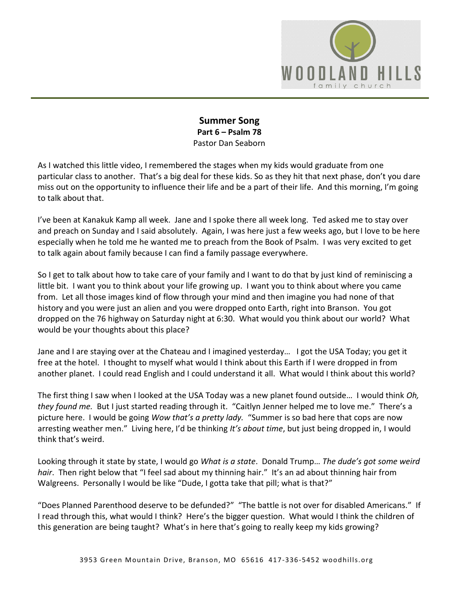

# **Summer Song Part 6 – Psalm 78**  Pastor Dan Seaborn

As I watched this little video, I remembered the stages when my kids would graduate from one particular class to another. That's a big deal for these kids. So as they hit that next phase, don't you dare miss out on the opportunity to influence their life and be a part of their life. And this morning, I'm going to talk about that.

I've been at Kanakuk Kamp all week. Jane and I spoke there all week long. Ted asked me to stay over and preach on Sunday and I said absolutely. Again, I was here just a few weeks ago, but I love to be here especially when he told me he wanted me to preach from the Book of Psalm. I was very excited to get to talk again about family because I can find a family passage everywhere.

So I get to talk about how to take care of your family and I want to do that by just kind of reminiscing a little bit. I want you to think about your life growing up. I want you to think about where you came from. Let all those images kind of flow through your mind and then imagine you had none of that history and you were just an alien and you were dropped onto Earth, right into Branson. You got dropped on the 76 highway on Saturday night at 6:30. What would you think about our world? What would be your thoughts about this place?

Jane and I are staying over at the Chateau and I imagined yesterday… I got the USA Today; you get it free at the hotel. I thought to myself what would I think about this Earth if I were dropped in from another planet. I could read English and I could understand it all. What would I think about this world?

The first thing I saw when I looked at the USA Today was a new planet found outside… I would think *Oh, they found me.* But I just started reading through it. "Caitlyn Jenner helped me to love me." There's a picture here. I would be going *Wow that's a pretty lady.* "Summer is so bad here that cops are now arresting weather men." Living here, I'd be thinking *It's about time*, but just being dropped in, I would think that's weird.

Looking through it state by state, I would go *What is a state*. Donald Trump… *The dude's got some weird hair*. Then right below that "I feel sad about my thinning hair." It's an ad about thinning hair from Walgreens. Personally I would be like "Dude, I gotta take that pill; what is that?"

"Does Planned Parenthood deserve to be defunded?" "The battle is not over for disabled Americans." If I read through this, what would I think? Here's the bigger question. What would I think the children of this generation are being taught? What's in here that's going to really keep my kids growing?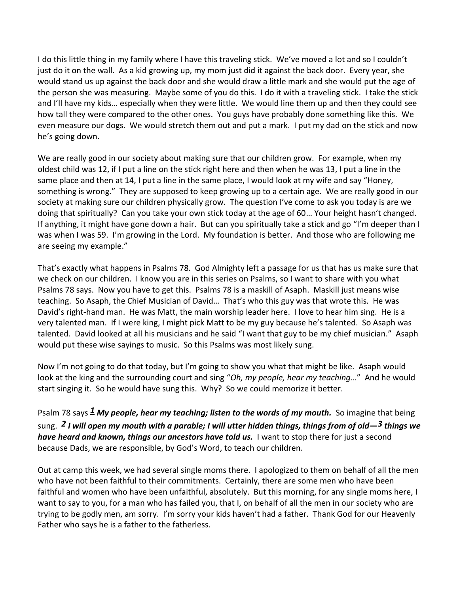I do this little thing in my family where I have this traveling stick. We've moved a lot and so I couldn't just do it on the wall. As a kid growing up, my mom just did it against the back door. Every year, she would stand us up against the back door and she would draw a little mark and she would put the age of the person she was measuring. Maybe some of you do this. I do it with a traveling stick. I take the stick and I'll have my kids… especially when they were little. We would line them up and then they could see how tall they were compared to the other ones. You guys have probably done something like this. We even measure our dogs. We would stretch them out and put a mark. I put my dad on the stick and now he's going down.

We are really good in our society about making sure that our children grow. For example, when my oldest child was 12, if I put a line on the stick right here and then when he was 13, I put a line in the same place and then at 14, I put a line in the same place, I would look at my wife and say "Honey, something is wrong." They are supposed to keep growing up to a certain age. We are really good in our society at making sure our children physically grow. The question I've come to ask you today is are we doing that spiritually? Can you take your own stick today at the age of 60… Your height hasn't changed. If anything, it might have gone down a hair. But can you spiritually take a stick and go "I'm deeper than I was when I was 59. I'm growing in the Lord. My foundation is better. And those who are following me are seeing my example."

That's exactly what happens in Psalms 78. God Almighty left a passage for us that has us make sure that we check on our children. I know you are in this series on Psalms, so I want to share with you what Psalms 78 says. Now you have to get this. Psalms 78 is a maskill of Asaph. Maskill just means wise teaching. So Asaph, the Chief Musician of David… That's who this guy was that wrote this. He was David's right-hand man. He was Matt, the main worship leader here. I love to hear him sing. He is a very talented man. If I were king, I might pick Matt to be my guy because he's talented. So Asaph was talented. David looked at all his musicians and he said "I want that guy to be my chief musician." Asaph would put these wise sayings to music. So this Psalms was most likely sung.

Now I'm not going to do that today, but I'm going to show you what that might be like. Asaph would look at the king and the surrounding court and sing "*Oh, my people, hear my teaching*…" And he would start singing it. So he would have sung this. Why? So we could memorize it better.

Psalm 78 says *[1](http://www.studylight.org/desk/?q=ps%2078:1&t1=en_niv&sr=1) My people, hear my teaching; listen to the words of my mouth.* So imagine that being sung. *[2](http://www.studylight.org/desk/?q=ps%2078:2&t1=en_niv&sr=1) I will open my mouth with a parable; I will utter hidden things, things from of old—[3](http://www.studylight.org/desk/?q=ps%2078:3&t1=en_niv&sr=1) things we have heard and known, things our ancestors have told us.* I want to stop there for just a second because Dads, we are responsible, by God's Word, to teach our children.

Out at camp this week, we had several single moms there. I apologized to them on behalf of all the men who have not been faithful to their commitments. Certainly, there are some men who have been faithful and women who have been unfaithful, absolutely. But this morning, for any single moms here, I want to say to you, for a man who has failed you, that I, on behalf of all the men in our society who are trying to be godly men, am sorry. I'm sorry your kids haven't had a father. Thank God for our Heavenly Father who says he is a father to the fatherless.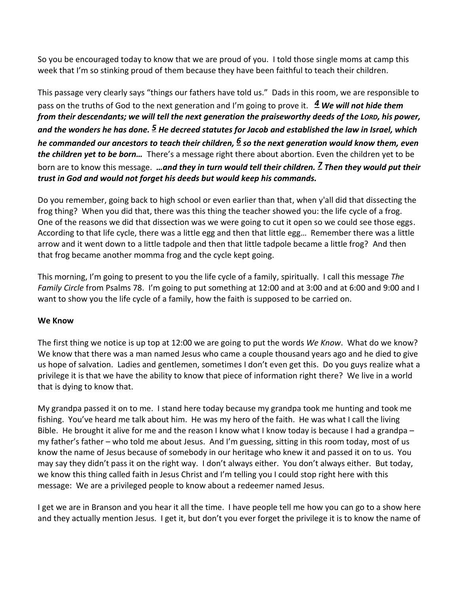So you be encouraged today to know that we are proud of you. I told those single moms at camp this week that I'm so stinking proud of them because they have been faithful to teach their children.

This passage very clearly says "things our fathers have told us." Dads in this room, we are responsible to pass on the truths of God to the next generation and I'm going to prove it. *[4](http://www.studylight.org/desk/?q=ps%2078:4&t1=en_niv&sr=1) We will not hide them from their descendants; we will tell the next generation the praiseworthy deeds of the LORD, his power, and the wonders he has done. [5](http://www.studylight.org/desk/?q=ps%2078:5&t1=en_niv&sr=1) He decreed statutes for Jacob and established the law in Israel, which he commanded our ancestors to teach their children, [6](http://www.studylight.org/desk/?q=ps%2078:6&t1=en_niv&sr=1) so the next generation would know them, even the children yet to be born…* There's a message right there about abortion. Even the children yet to be born are to know this message. *…and they in turn would tell their children. [7](http://www.studylight.org/desk/?q=ps%2078:7&t1=en_niv&sr=1) Then they would put their trust in God and would not forget his deeds but would keep his commands.* 

Do you remember, going back to high school or even earlier than that, when y'all did that dissecting the frog thing? When you did that, there was this thing the teacher showed you: the life cycle of a frog. One of the reasons we did that dissection was we were going to cut it open so we could see those eggs. According to that life cycle, there was a little egg and then that little egg… Remember there was a little arrow and it went down to a little tadpole and then that little tadpole became a little frog? And then that frog became another momma frog and the cycle kept going.

This morning, I'm going to present to you the life cycle of a family, spiritually. I call this message *The Family Circle* from Psalms 78. I'm going to put something at 12:00 and at 3:00 and at 6:00 and 9:00 and I want to show you the life cycle of a family, how the faith is supposed to be carried on.

# **We Know**

The first thing we notice is up top at 12:00 we are going to put the words *We Know*. What do we know? We know that there was a man named Jesus who came a couple thousand years ago and he died to give us hope of salvation. Ladies and gentlemen, sometimes I don't even get this. Do you guys realize what a privilege it is that we have the ability to know that piece of information right there? We live in a world that is dying to know that.

My grandpa passed it on to me. I stand here today because my grandpa took me hunting and took me fishing. You've heard me talk about him. He was my hero of the faith. He was what I call the living Bible. He brought it alive for me and the reason I know what I know today is because I had a grandpa – my father's father – who told me about Jesus. And I'm guessing, sitting in this room today, most of us know the name of Jesus because of somebody in our heritage who knew it and passed it on to us. You may say they didn't pass it on the right way. I don't always either. You don't always either. But today, we know this thing called faith in Jesus Christ and I'm telling you I could stop right here with this message: We are a privileged people to know about a redeemer named Jesus.

I get we are in Branson and you hear it all the time. I have people tell me how you can go to a show here and they actually mention Jesus. I get it, but don't you ever forget the privilege it is to know the name of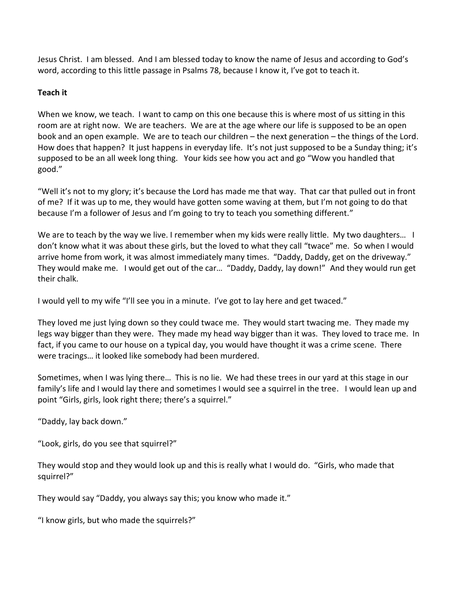Jesus Christ. I am blessed. And I am blessed today to know the name of Jesus and according to God's word, according to this little passage in Psalms 78, because I know it, I've got to teach it.

# **Teach it**

When we know, we teach. I want to camp on this one because this is where most of us sitting in this room are at right now. We are teachers. We are at the age where our life is supposed to be an open book and an open example. We are to teach our children – the next generation – the things of the Lord. How does that happen? It just happens in everyday life. It's not just supposed to be a Sunday thing; it's supposed to be an all week long thing. Your kids see how you act and go "Wow you handled that good."

"Well it's not to my glory; it's because the Lord has made me that way. That car that pulled out in front of me? If it was up to me, they would have gotten some waving at them, but I'm not going to do that because I'm a follower of Jesus and I'm going to try to teach you something different."

We are to teach by the way we live. I remember when my kids were really little. My two daughters... I don't know what it was about these girls, but the loved to what they call "twace" me. So when I would arrive home from work, it was almost immediately many times. "Daddy, Daddy, get on the driveway." They would make me. I would get out of the car… "Daddy, Daddy, lay down!" And they would run get their chalk.

I would yell to my wife "I'll see you in a minute. I've got to lay here and get twaced."

They loved me just lying down so they could twace me. They would start twacing me. They made my legs way bigger than they were. They made my head way bigger than it was. They loved to trace me. In fact, if you came to our house on a typical day, you would have thought it was a crime scene. There were tracings… it looked like somebody had been murdered.

Sometimes, when I was lying there… This is no lie. We had these trees in our yard at this stage in our family's life and I would lay there and sometimes I would see a squirrel in the tree. I would lean up and point "Girls, girls, look right there; there's a squirrel."

"Daddy, lay back down."

"Look, girls, do you see that squirrel?"

They would stop and they would look up and this is really what I would do. "Girls, who made that squirrel?"

They would say "Daddy, you always say this; you know who made it."

"I know girls, but who made the squirrels?"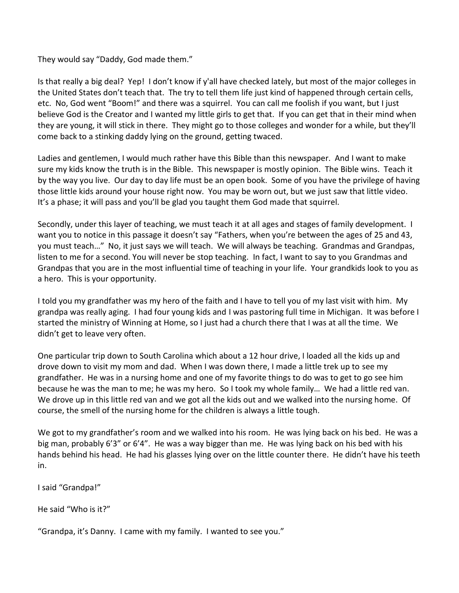They would say "Daddy, God made them."

Is that really a big deal? Yep! I don't know if y'all have checked lately, but most of the major colleges in the United States don't teach that. The try to tell them life just kind of happened through certain cells, etc. No, God went "Boom!" and there was a squirrel. You can call me foolish if you want, but I just believe God is the Creator and I wanted my little girls to get that. If you can get that in their mind when they are young, it will stick in there. They might go to those colleges and wonder for a while, but they'll come back to a stinking daddy lying on the ground, getting twaced.

Ladies and gentlemen, I would much rather have this Bible than this newspaper. And I want to make sure my kids know the truth is in the Bible. This newspaper is mostly opinion. The Bible wins. Teach it by the way you live. Our day to day life must be an open book. Some of you have the privilege of having those little kids around your house right now. You may be worn out, but we just saw that little video. It's a phase; it will pass and you'll be glad you taught them God made that squirrel.

Secondly, under this layer of teaching, we must teach it at all ages and stages of family development. I want you to notice in this passage it doesn't say "Fathers, when you're between the ages of 25 and 43, you must teach…" No, it just says we will teach. We will always be teaching. Grandmas and Grandpas, listen to me for a second. You will never be stop teaching. In fact, I want to say to you Grandmas and Grandpas that you are in the most influential time of teaching in your life. Your grandkids look to you as a hero. This is your opportunity.

I told you my grandfather was my hero of the faith and I have to tell you of my last visit with him. My grandpa was really aging. I had four young kids and I was pastoring full time in Michigan. It was before I started the ministry of Winning at Home, so I just had a church there that I was at all the time. We didn't get to leave very often.

One particular trip down to South Carolina which about a 12 hour drive, I loaded all the kids up and drove down to visit my mom and dad. When I was down there, I made a little trek up to see my grandfather. He was in a nursing home and one of my favorite things to do was to get to go see him because he was the man to me; he was my hero. So I took my whole family… We had a little red van. We drove up in this little red van and we got all the kids out and we walked into the nursing home. Of course, the smell of the nursing home for the children is always a little tough.

We got to my grandfather's room and we walked into his room. He was lying back on his bed. He was a big man, probably 6'3" or 6'4". He was a way bigger than me. He was lying back on his bed with his hands behind his head. He had his glasses lying over on the little counter there. He didn't have his teeth in.

I said "Grandpa!"

He said "Who is it?"

"Grandpa, it's Danny. I came with my family. I wanted to see you."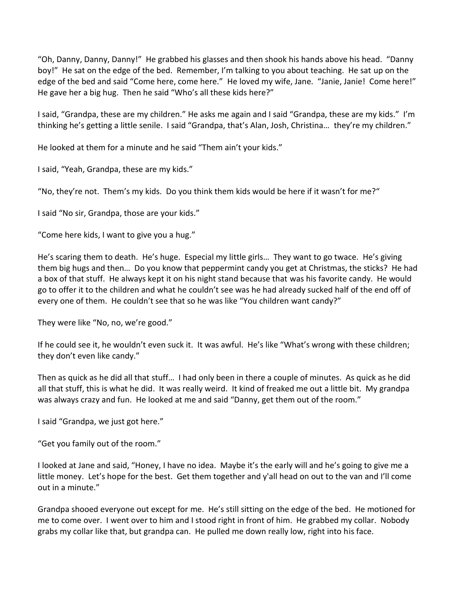"Oh, Danny, Danny, Danny!" He grabbed his glasses and then shook his hands above his head. "Danny boy!" He sat on the edge of the bed. Remember, I'm talking to you about teaching. He sat up on the edge of the bed and said "Come here, come here." He loved my wife, Jane. "Janie, Janie! Come here!" He gave her a big hug. Then he said "Who's all these kids here?"

I said, "Grandpa, these are my children." He asks me again and I said "Grandpa, these are my kids." I'm thinking he's getting a little senile. I said "Grandpa, that's Alan, Josh, Christina… they're my children."

He looked at them for a minute and he said "Them ain't your kids."

I said, "Yeah, Grandpa, these are my kids."

"No, they're not. Them's my kids. Do you think them kids would be here if it wasn't for me?"

I said "No sir, Grandpa, those are your kids."

"Come here kids, I want to give you a hug."

He's scaring them to death. He's huge. Especial my little girls… They want to go twace. He's giving them big hugs and then… Do you know that peppermint candy you get at Christmas, the sticks? He had a box of that stuff. He always kept it on his night stand because that was his favorite candy. He would go to offer it to the children and what he couldn't see was he had already sucked half of the end off of every one of them. He couldn't see that so he was like "You children want candy?"

They were like "No, no, we're good."

If he could see it, he wouldn't even suck it. It was awful. He's like "What's wrong with these children; they don't even like candy."

Then as quick as he did all that stuff… I had only been in there a couple of minutes. As quick as he did all that stuff, this is what he did. It was really weird. It kind of freaked me out a little bit. My grandpa was always crazy and fun. He looked at me and said "Danny, get them out of the room."

I said "Grandpa, we just got here."

"Get you family out of the room."

I looked at Jane and said, "Honey, I have no idea. Maybe it's the early will and he's going to give me a little money. Let's hope for the best. Get them together and y'all head on out to the van and I'll come out in a minute."

Grandpa shooed everyone out except for me. He's still sitting on the edge of the bed. He motioned for me to come over. I went over to him and I stood right in front of him. He grabbed my collar. Nobody grabs my collar like that, but grandpa can. He pulled me down really low, right into his face.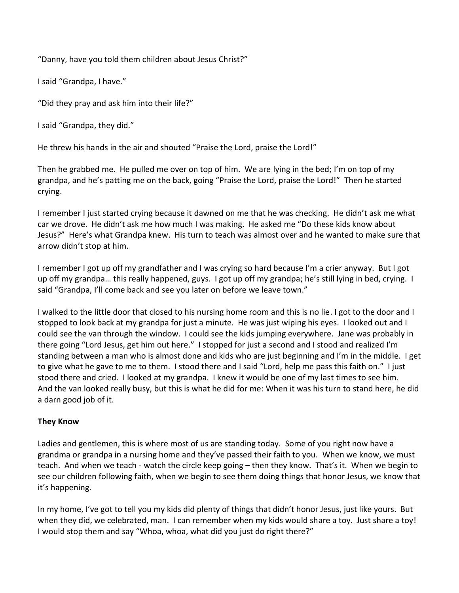"Danny, have you told them children about Jesus Christ?"

I said "Grandpa, I have."

"Did they pray and ask him into their life?"

I said "Grandpa, they did."

He threw his hands in the air and shouted "Praise the Lord, praise the Lord!"

Then he grabbed me. He pulled me over on top of him. We are lying in the bed; I'm on top of my grandpa, and he's patting me on the back, going "Praise the Lord, praise the Lord!" Then he started crying.

I remember I just started crying because it dawned on me that he was checking. He didn't ask me what car we drove. He didn't ask me how much I was making. He asked me "Do these kids know about Jesus?" Here's what Grandpa knew. His turn to teach was almost over and he wanted to make sure that arrow didn't stop at him.

I remember I got up off my grandfather and I was crying so hard because I'm a crier anyway. But I got up off my grandpa… this really happened, guys. I got up off my grandpa; he's still lying in bed, crying. I said "Grandpa, I'll come back and see you later on before we leave town."

I walked to the little door that closed to his nursing home room and this is no lie. I got to the door and I stopped to look back at my grandpa for just a minute. He was just wiping his eyes. I looked out and I could see the van through the window. I could see the kids jumping everywhere. Jane was probably in there going "Lord Jesus, get him out here." I stopped for just a second and I stood and realized I'm standing between a man who is almost done and kids who are just beginning and I'm in the middle. I get to give what he gave to me to them. I stood there and I said "Lord, help me pass this faith on." I just stood there and cried. I looked at my grandpa. I knew it would be one of my last times to see him. And the van looked really busy, but this is what he did for me: When it was his turn to stand here, he did a darn good job of it.

# **They Know**

Ladies and gentlemen, this is where most of us are standing today. Some of you right now have a grandma or grandpa in a nursing home and they've passed their faith to you. When we know, we must teach. And when we teach - watch the circle keep going – then they know. That's it. When we begin to see our children following faith, when we begin to see them doing things that honor Jesus, we know that it's happening.

In my home, I've got to tell you my kids did plenty of things that didn't honor Jesus, just like yours. But when they did, we celebrated, man. I can remember when my kids would share a toy. Just share a toy! I would stop them and say "Whoa, whoa, what did you just do right there?"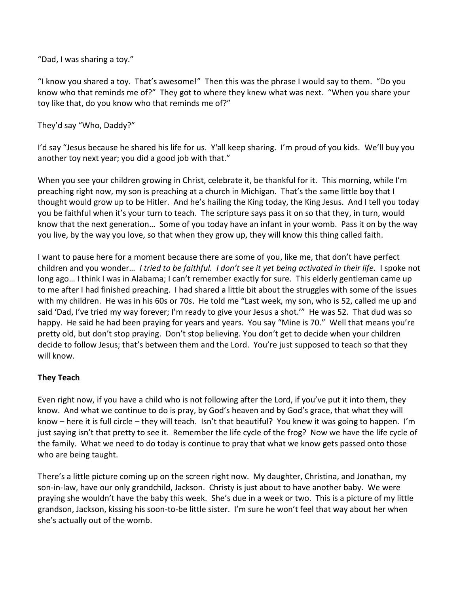"Dad, I was sharing a toy."

"I know you shared a toy. That's awesome!" Then this was the phrase I would say to them. "Do you know who that reminds me of?" They got to where they knew what was next. "When you share your toy like that, do you know who that reminds me of?"

They'd say "Who, Daddy?"

I'd say "Jesus because he shared his life for us. Y'all keep sharing. I'm proud of you kids. We'll buy you another toy next year; you did a good job with that."

When you see your children growing in Christ, celebrate it, be thankful for it. This morning, while I'm preaching right now, my son is preaching at a church in Michigan. That's the same little boy that I thought would grow up to be Hitler. And he's hailing the King today, the King Jesus. And I tell you today you be faithful when it's your turn to teach. The scripture says pass it on so that they, in turn, would know that the next generation… Some of you today have an infant in your womb. Pass it on by the way you live, by the way you love, so that when they grow up, they will know this thing called faith.

I want to pause here for a moment because there are some of you, like me, that don't have perfect children and you wonder… *I tried to be faithful. I don't see it yet being activated in their life.* I spoke not long ago… I think I was in Alabama; I can't remember exactly for sure. This elderly gentleman came up to me after I had finished preaching. I had shared a little bit about the struggles with some of the issues with my children. He was in his 60s or 70s. He told me "Last week, my son, who is 52, called me up and said 'Dad, I've tried my way forever; I'm ready to give your Jesus a shot.'" He was 52. That dud was so happy. He said he had been praying for years and years. You say "Mine is 70." Well that means you're pretty old, but don't stop praying. Don't stop believing. You don't get to decide when your children decide to follow Jesus; that's between them and the Lord. You're just supposed to teach so that they will know.

# **They Teach**

Even right now, if you have a child who is not following after the Lord, if you've put it into them, they know. And what we continue to do is pray, by God's heaven and by God's grace, that what they will know – here it is full circle – they will teach. Isn't that beautiful? You knew it was going to happen. I'm just saying isn't that pretty to see it. Remember the life cycle of the frog? Now we have the life cycle of the family. What we need to do today is continue to pray that what we know gets passed onto those who are being taught.

There's a little picture coming up on the screen right now. My daughter, Christina, and Jonathan, my son-in-law, have our only grandchild, Jackson. Christy is just about to have another baby. We were praying she wouldn't have the baby this week. She's due in a week or two. This is a picture of my little grandson, Jackson, kissing his soon-to-be little sister. I'm sure he won't feel that way about her when she's actually out of the womb.